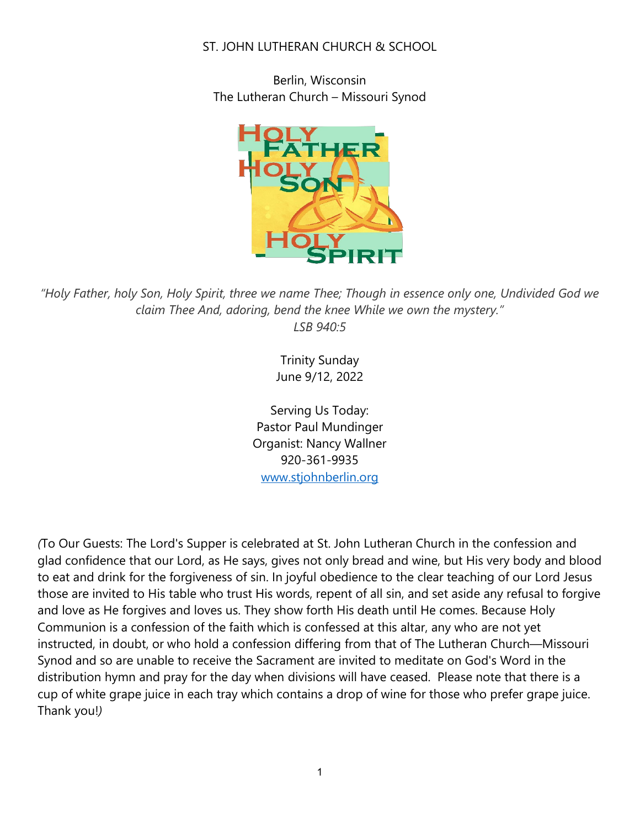## ST. JOHN LUTHERAN CHURCH & SCHOOL

Berlin, Wisconsin The Lutheran Church – Missouri Synod



*"Holy Father, holy Son, Holy Spirit, three we name Thee; Though in essence only one, Undivided God we claim Thee And, adoring, bend the knee While we own the mystery." LSB 940:5*

> Trinity Sunday June 9/12, 2022

Serving Us Today: Pastor Paul Mundinger Organist: Nancy Wallner 920-361-9935 [www.stjohnberlin.org](http://www.stjohnberlin.org/)

*(*To Our Guests: The Lord's Supper is celebrated at St. John Lutheran Church in the confession and glad confidence that our Lord, as He says, gives not only bread and wine, but His very body and blood to eat and drink for the forgiveness of sin. In joyful obedience to the clear teaching of our Lord Jesus those are invited to His table who trust His words, repent of all sin, and set aside any refusal to forgive and love as He forgives and loves us. They show forth His death until He comes. Because Holy Communion is a confession of the faith which is confessed at this altar, any who are not yet instructed, in doubt, or who hold a confession differing from that of The Lutheran Church—Missouri Synod and so are unable to receive the Sacrament are invited to meditate on God's Word in the distribution hymn and pray for the day when divisions will have ceased. Please note that there is a cup of white grape juice in each tray which contains a drop of wine for those who prefer grape juice. Thank you!*)*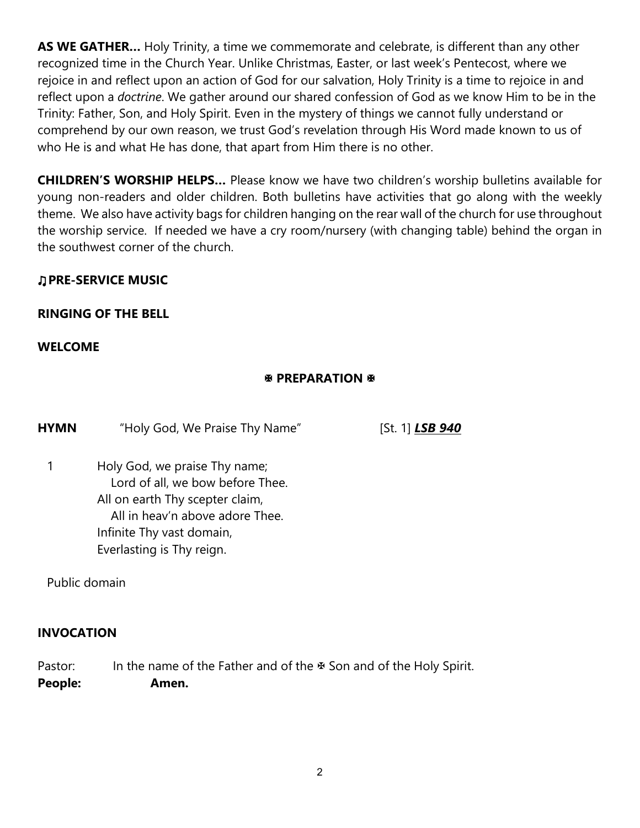**AS WE GATHER…** Holy Trinity, a time we commemorate and celebrate, is different than any other recognized time in the Church Year. Unlike Christmas, Easter, or last week's Pentecost, where we rejoice in and reflect upon an action of God for our salvation, Holy Trinity is a time to rejoice in and reflect upon a *doctrine*. We gather around our shared confession of God as we know Him to be in the Trinity: Father, Son, and Holy Spirit. Even in the mystery of things we cannot fully understand or comprehend by our own reason, we trust God's revelation through His Word made known to us of who He is and what He has done, that apart from Him there is no other.

**CHILDREN'S WORSHIP HELPS…** Please know we have two children's worship bulletins available for young non-readers and older children. Both bulletins have activities that go along with the weekly theme. We also have activity bags for children hanging on the rear wall of the church for use throughout the worship service. If needed we have a cry room/nursery (with changing table) behind the organ in the southwest corner of the church.

# ♫**PRE-SERVICE MUSIC**

# **RINGING OF THE BELL**

## **WELCOME**

# **EX PREPARATION &**

**HYMN** "Holy God, We Praise Thy Name" [St. 1] **LSB 940** 

1 Holy God, we praise Thy name; Lord of all, we bow before Thee. All on earth Thy scepter claim, All in heav'n above adore Thee. Infinite Thy vast domain, Everlasting is Thy reign.

Public domain

## **INVOCATION**

Pastor: In the name of the Father and of the  $\Phi$  Son and of the Holy Spirit. **People: Amen.**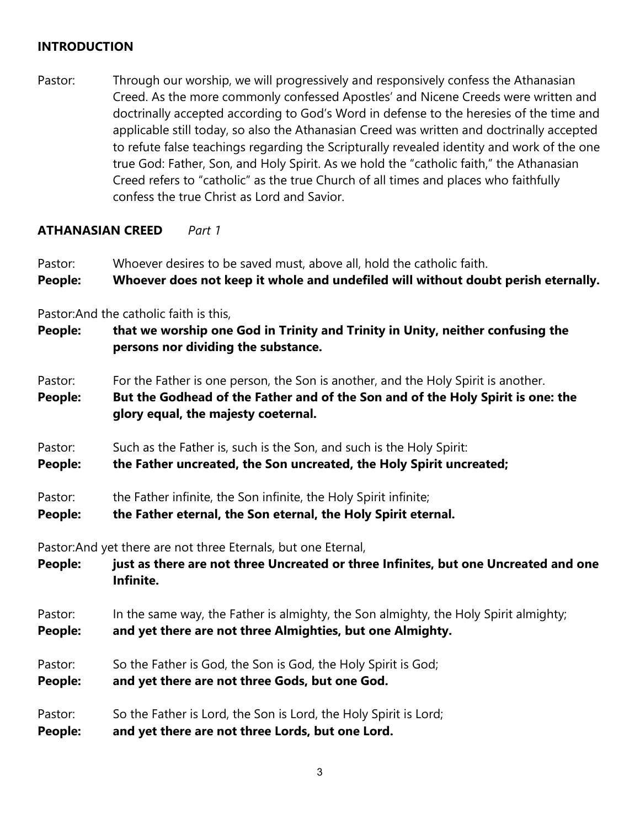## **INTRODUCTION**

Pastor: Through our worship, we will progressively and responsively confess the Athanasian Creed. As the more commonly confessed Apostles' and Nicene Creeds were written and doctrinally accepted according to God's Word in defense to the heresies of the time and applicable still today, so also the Athanasian Creed was written and doctrinally accepted to refute false teachings regarding the Scripturally revealed identity and work of the one true God: Father, Son, and Holy Spirit. As we hold the "catholic faith," the Athanasian Creed refers to "catholic" as the true Church of all times and places who faithfully confess the true Christ as Lord and Savior.

#### **ATHANASIAN CREED** *Part 1*

Pastor: Whoever desires to be saved must, above all, hold the catholic faith.

```
People: Whoever does not keep it whole and undefiled will without doubt perish eternally.
```
Pastor:And the catholic faith is this,

- **People: that we worship one God in Trinity and Trinity in Unity, neither confusing the persons nor dividing the substance.**
- Pastor: For the Father is one person, the Son is another, and the Holy Spirit is another.
- **People: But the Godhead of the Father and of the Son and of the Holy Spirit is one: the glory equal, the majesty coeternal.**
- Pastor: Such as the Father is, such is the Son, and such is the Holy Spirit:
- **People: the Father uncreated, the Son uncreated, the Holy Spirit uncreated;**
- Pastor: the Father infinite, the Son infinite, the Holy Spirit infinite;
- **People: the Father eternal, the Son eternal, the Holy Spirit eternal.**

Pastor:And yet there are not three Eternals, but one Eternal,

**People: just as there are not three Uncreated or three Infinites, but one Uncreated and one Infinite.**

Pastor: In the same way, the Father is almighty, the Son almighty, the Holy Spirit almighty;

**People: and yet there are not three Almighties, but one Almighty.**

- Pastor: So the Father is God, the Son is God, the Holy Spirit is God;
- **People: and yet there are not three Gods, but one God.**
- Pastor: So the Father is Lord, the Son is Lord, the Holy Spirit is Lord;
- **People: and yet there are not three Lords, but one Lord.**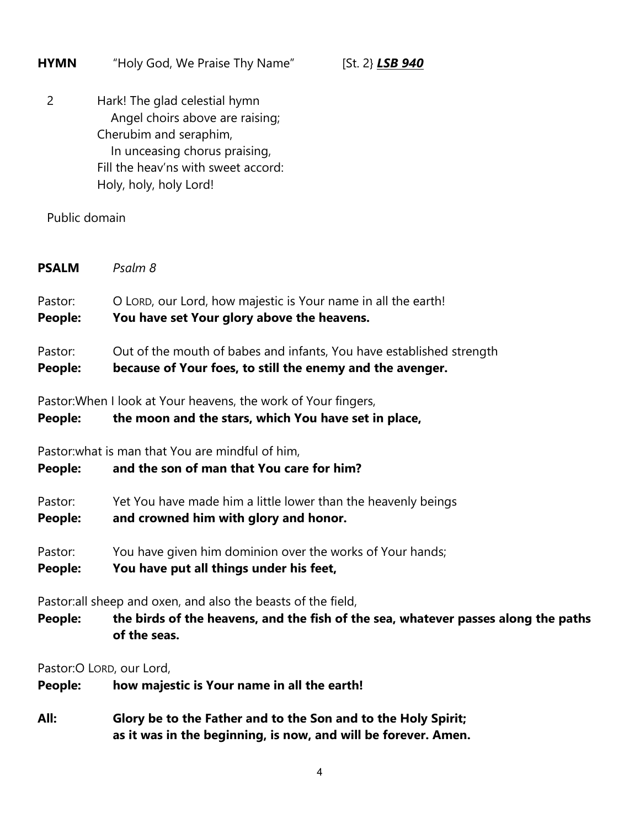| <b>HYMN</b>                                                                                                                       | "Holy God, We Praise Thy Name"<br>[St. 2} $LSB$ 940                                                                                                                                          |  |  |  |
|-----------------------------------------------------------------------------------------------------------------------------------|----------------------------------------------------------------------------------------------------------------------------------------------------------------------------------------------|--|--|--|
| $\overline{2}$                                                                                                                    | Hark! The glad celestial hymn<br>Angel choirs above are raising;<br>Cherubim and seraphim,<br>In unceasing chorus praising,<br>Fill the heav'ns with sweet accord:<br>Holy, holy, holy Lord! |  |  |  |
| Public domain                                                                                                                     |                                                                                                                                                                                              |  |  |  |
| <b>PSALM</b>                                                                                                                      | Psalm 8                                                                                                                                                                                      |  |  |  |
| Pastor:<br><b>People:</b>                                                                                                         | O LORD, our Lord, how majestic is Your name in all the earth!<br>You have set Your glory above the heavens.                                                                                  |  |  |  |
| Pastor:<br>People:                                                                                                                | Out of the mouth of babes and infants, You have established strength<br>because of Your foes, to still the enemy and the avenger.                                                            |  |  |  |
| Pastor: When I look at Your heavens, the work of Your fingers,<br>the moon and the stars, which You have set in place,<br>People: |                                                                                                                                                                                              |  |  |  |
| People:                                                                                                                           | Pastor: what is man that You are mindful of him,<br>and the son of man that You care for him?                                                                                                |  |  |  |
| Pastor:<br><b>People:</b>                                                                                                         | Yet You have made him a little lower than the heavenly beings<br>and crowned him with glory and honor.                                                                                       |  |  |  |
| Pastor:<br>People:                                                                                                                | You have given him dominion over the works of Your hands;<br>You have put all things under his feet,                                                                                         |  |  |  |
| People:                                                                                                                           | Pastor: all sheep and oxen, and also the beasts of the field,<br>the birds of the heavens, and the fish of the sea, whatever passes along the paths<br>of the seas.                          |  |  |  |
| People:                                                                                                                           | Pastor: O LORD, our Lord,<br>how majestic is Your name in all the earth!                                                                                                                     |  |  |  |
| All:                                                                                                                              | Glory be to the Father and to the Son and to the Holy Spirit;<br>as it was in the beginning, is now, and will be forever. Amen.                                                              |  |  |  |

4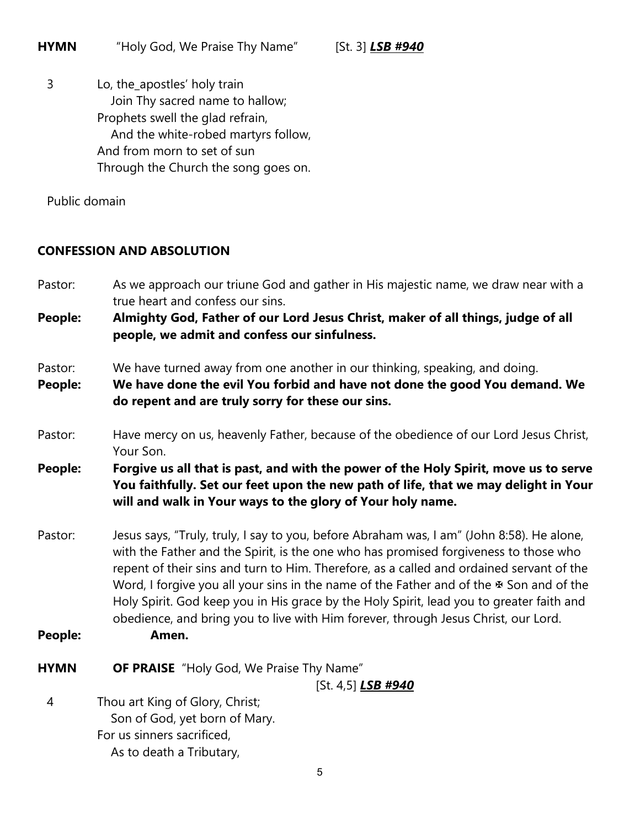3 Lo, the\_apostles' holy train Join Thy sacred name to hallow; Prophets swell the glad refrain, And the white-robed martyrs follow, And from morn to set of sun Through the Church the song goes on.

Public domain

# **CONFESSION AND ABSOLUTION**

Pastor: As we approach our triune God and gather in His majestic name, we draw near with a true heart and confess our sins.

**People: Almighty God, Father of our Lord Jesus Christ, maker of all things, judge of all people, we admit and confess our sinfulness.**

- Pastor: We have turned away from one another in our thinking, speaking, and doing.
- **People: We have done the evil You forbid and have not done the good You demand. We do repent and are truly sorry for these our sins.**
- Pastor: Have mercy on us, heavenly Father, because of the obedience of our Lord Jesus Christ, Your Son.
- **People: Forgive us all that is past, and with the power of the Holy Spirit, move us to serve You faithfully. Set our feet upon the new path of life, that we may delight in Your will and walk in Your ways to the glory of Your holy name.**
- Pastor: Jesus says, "Truly, truly, I say to you, before Abraham was, I am" (John 8:58). He alone, with the Father and the Spirit, is the one who has promised forgiveness to those who repent of their sins and turn to Him. Therefore, as a called and ordained servant of the Word, I forgive you all your sins in the name of the Father and of the  $\mathcal F$  Son and of the Holy Spirit. God keep you in His grace by the Holy Spirit, lead you to greater faith and obedience, and bring you to live with Him forever, through Jesus Christ, our Lord.
- **People: Amen.**
- **HYMN OF PRAISE** "Holy God, We Praise Thy Name"

[St. 4,5] *LSB #940*

4 Thou art King of Glory, Christ; Son of God, yet born of Mary. For us sinners sacrificed, As to death a Tributary,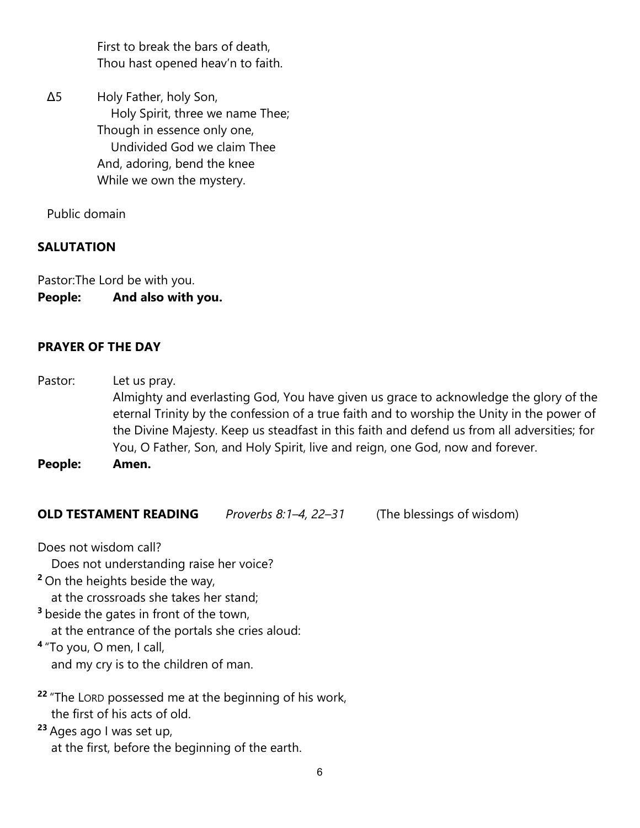First to break the bars of death, Thou hast opened heav'n to faith.

Δ5 Holy Father, holy Son, Holy Spirit, three we name Thee; Though in essence only one, Undivided God we claim Thee And, adoring, bend the knee While we own the mystery.

Public domain

# **SALUTATION**

Pastor:The Lord be with you. **People: And also with you.**

#### **PRAYER OF THE DAY**

Pastor: Let us pray. Almighty and everlasting God, You have given us grace to acknowledge the glory of the eternal Trinity by the confession of a true faith and to worship the Unity in the power of the Divine Majesty. Keep us steadfast in this faith and defend us from all adversities; for You, O Father, Son, and Holy Spirit, live and reign, one God, now and forever.

**People: Amen.**

**OLD TESTAMENT READING** *Proverbs 8:1–4, 22–31* (The blessings of wisdom)

Does not wisdom call?

Does not understanding raise her voice?

**<sup>2</sup>**On the heights beside the way,

at the crossroads she takes her stand;

**<sup>3</sup>**beside the gates in front of the town,

at the entrance of the portals she cries aloud:

**<sup>4</sup>**"To you, O men, I call, and my cry is to the children of man.

**<sup>22</sup>** "The LORD possessed me at the beginning of his work, the first of his acts of old.

**<sup>23</sup>** Ages ago I was set up, at the first, before the beginning of the earth.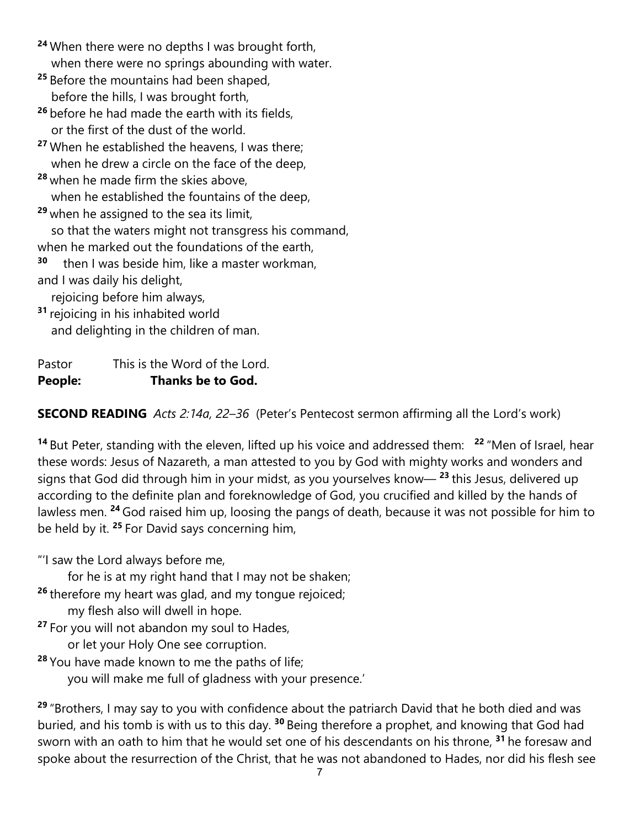- **<sup>24</sup>** When there were no depths I was brought forth, when there were no springs abounding with water.
- **<sup>25</sup>** Before the mountains had been shaped, before the hills, I was brought forth,
- **<sup>26</sup>** before he had made the earth with its fields, or the first of the dust of the world.
- **<sup>27</sup>** When he established the heavens, I was there; when he drew a circle on the face of the deep,
- **<sup>28</sup>** when he made firm the skies above, when he established the fountains of the deep.
- **<sup>29</sup>** when he assigned to the sea its limit, so that the waters might not transgress his command,
- when he marked out the foundations of the earth,
- **<sup>30</sup>** then I was beside him, like a master workman, and I was daily his delight,

rejoicing before him always,

**<sup>31</sup>** rejoicing in his inhabited world and delighting in the children of man.

Pastor This is the Word of the Lord. **People: Thanks be to God.**

**SECOND READING** *Acts 2:14a, 22–36* (Peter's Pentecost sermon affirming all the Lord's work)

**<sup>14</sup>** But Peter, standing with the eleven, lifted up his voice and addressed them: **<sup>22</sup>** "Men of Israel, hear these words: Jesus of Nazareth, a man attested to you by God with mighty works and wonders and signs that God did through him in your midst, as you yourselves know— **<sup>23</sup>** this Jesus, delivered up according to the definite plan and foreknowledge of God, you crucified and killed by the hands of lawless men. **<sup>24</sup>** God raised him up, loosing the pangs of death, because it was not possible for him to be held by it. **<sup>25</sup>**For David says concerning him,

"'I saw the Lord always before me,

for he is at my right hand that I may not be shaken;

**<sup>26</sup>** therefore my heart was glad, and my tongue rejoiced;

- my flesh also will dwell in hope.
- **<sup>27</sup>** For you will not abandon my soul to Hades,
	- or let your Holy One see corruption.
- **<sup>28</sup>** You have made known to me the paths of life; you will make me full of gladness with your presence.'

**<sup>29</sup>** "Brothers, I may say to you with confidence about the patriarch David that he both died and was buried, and his tomb is with us to this day. **<sup>30</sup>** Being therefore a prophet, and knowing that God had sworn with an oath to him that he would set one of his descendants on his throne, **<sup>31</sup>** he foresaw and spoke about the resurrection of the Christ, that he was not abandoned to Hades, nor did his flesh see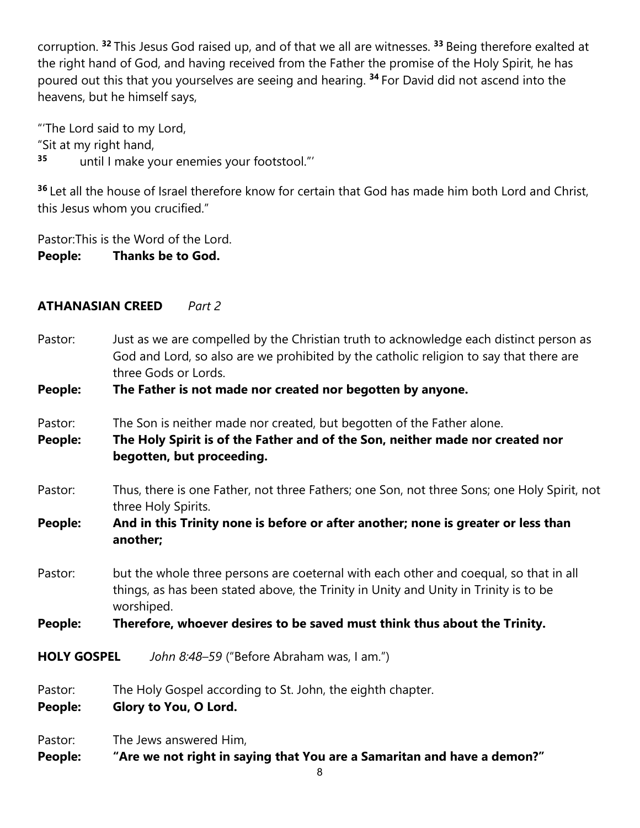corruption. **<sup>32</sup>** This Jesus God raised up, and of that we all are witnesses. **<sup>33</sup>** Being therefore exalted at the right hand of God, and having received from the Father the promise of the Holy Spirit, he has poured out this that you yourselves are seeing and hearing. **<sup>34</sup>** For David did not ascend into the heavens, but he himself says,

"'The Lord said to my Lord, "Sit at my right hand, **<sup>35</sup>** until I make your enemies your footstool."'

**<sup>36</sup>** Let all the house of Israel therefore know for certain that God has made him both Lord and Christ, this Jesus whom you crucified."

Pastor: This is the Word of the Lord. **People: Thanks be to God.**

# **ATHANASIAN CREED** *Part 2*

Pastor: Just as we are compelled by the Christian truth to acknowledge each distinct person as God and Lord, so also are we prohibited by the catholic religion to say that there are three Gods or Lords.

**People: The Father is not made nor created nor begotten by anyone.**

- Pastor: The Son is neither made nor created, but begotten of the Father alone.
- **People: The Holy Spirit is of the Father and of the Son, neither made nor created nor begotten, but proceeding.**
- Pastor: Thus, there is one Father, not three Fathers; one Son, not three Sons; one Holy Spirit, not three Holy Spirits.

# **People: And in this Trinity none is before or after another; none is greater or less than another;**

Pastor: but the whole three persons are coeternal with each other and coequal, so that in all things, as has been stated above, the Trinity in Unity and Unity in Trinity is to be worshiped.

**People: Therefore, whoever desires to be saved must think thus about the Trinity.**

**HOLY GOSPEL** *John 8:48–59* ("Before Abraham was, I am.")

Pastor: The Holy Gospel according to St. John, the eighth chapter.

**People: Glory to You, O Lord.**

Pastor: The Jews answered Him,

**People: "Are we not right in saying that You are a Samaritan and have a demon?"**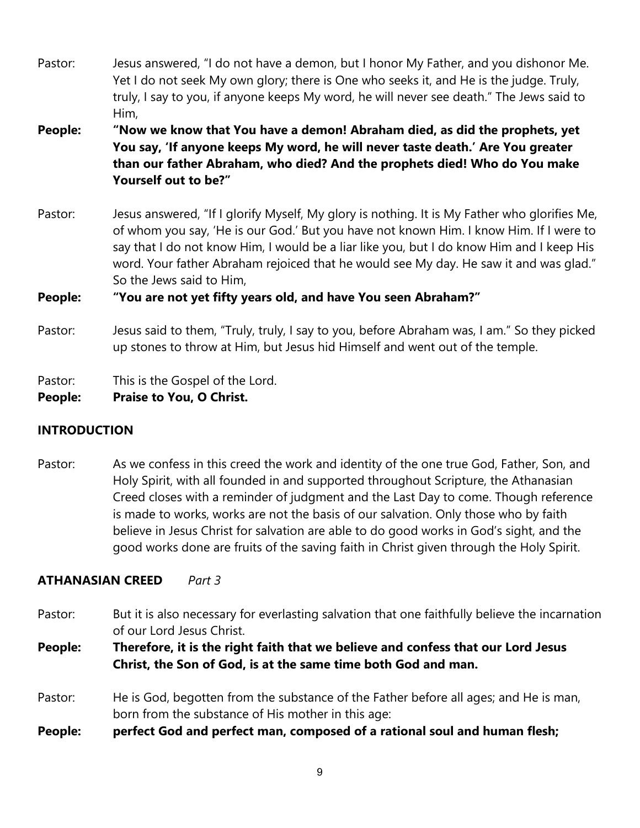- Pastor: Jesus answered, "I do not have a demon, but I honor My Father, and you dishonor Me. Yet I do not seek My own glory; there is One who seeks it, and He is the judge. Truly, truly, I say to you, if anyone keeps My word, he will never see death." The Jews said to Him,
- **People: "Now we know that You have a demon! Abraham died, as did the prophets, yet You say, 'If anyone keeps My word, he will never taste death.' Are You greater than our father Abraham, who died? And the prophets died! Who do You make Yourself out to be?"**
- Pastor: Jesus answered, "If I glorify Myself, My glory is nothing. It is My Father who glorifies Me, of whom you say, 'He is our God.' But you have not known Him. I know Him. If I were to say that I do not know Him, I would be a liar like you, but I do know Him and I keep His word. Your father Abraham rejoiced that he would see My day. He saw it and was glad." So the Jews said to Him,

#### **People: "You are not yet fifty years old, and have You seen Abraham?"**

Pastor: Jesus said to them, "Truly, truly, I say to you, before Abraham was, I am." So they picked up stones to throw at Him, but Jesus hid Himself and went out of the temple.

Pastor: This is the Gospel of the Lord.

**People: Praise to You, O Christ.**

#### **INTRODUCTION**

Pastor: As we confess in this creed the work and identity of the one true God, Father, Son, and Holy Spirit, with all founded in and supported throughout Scripture, the Athanasian Creed closes with a reminder of judgment and the Last Day to come. Though reference is made to works, works are not the basis of our salvation. Only those who by faith believe in Jesus Christ for salvation are able to do good works in God's sight, and the good works done are fruits of the saving faith in Christ given through the Holy Spirit.

## **ATHANASIAN CREED** *Part 3*

Pastor: But it is also necessary for everlasting salvation that one faithfully believe the incarnation of our Lord Jesus Christ.

**People: Therefore, it is the right faith that we believe and confess that our Lord Jesus Christ, the Son of God, is at the same time both God and man.**

- Pastor: He is God, begotten from the substance of the Father before all ages; and He is man, born from the substance of His mother in this age:
- **People: perfect God and perfect man, composed of a rational soul and human flesh;**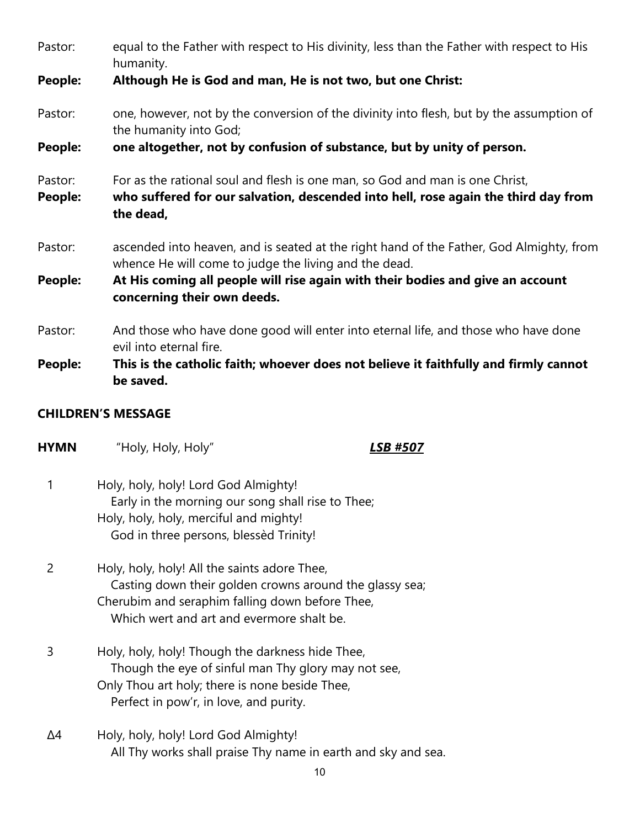| Pastor:            | equal to the Father with respect to His divinity, less than the Father with respect to His<br>humanity.                                                                         |  |  |  |
|--------------------|---------------------------------------------------------------------------------------------------------------------------------------------------------------------------------|--|--|--|
| People:            | Although He is God and man, He is not two, but one Christ:                                                                                                                      |  |  |  |
| Pastor:            | one, however, not by the conversion of the divinity into flesh, but by the assumption of<br>the humanity into God;                                                              |  |  |  |
| People:            | one altogether, not by confusion of substance, but by unity of person.                                                                                                          |  |  |  |
| Pastor:<br>People: | For as the rational soul and flesh is one man, so God and man is one Christ,<br>who suffered for our salvation, descended into hell, rose again the third day from<br>the dead, |  |  |  |
| Pastor:            | ascended into heaven, and is seated at the right hand of the Father, God Almighty, from<br>whence He will come to judge the living and the dead.                                |  |  |  |
| People:            | At His coming all people will rise again with their bodies and give an account<br>concerning their own deeds.                                                                   |  |  |  |
| Pastor:            | And those who have done good will enter into eternal life, and those who have done<br>evil into eternal fire.                                                                   |  |  |  |
| People:            | This is the catholic faith; whoever does not believe it faithfully and firmly cannot<br>be saved.                                                                               |  |  |  |

#### **CHILDREN'S MESSAGE**

**HYMN** "Holy, Holy, Holy" *LSB #507*

- 1 Holy, holy, holy! Lord God Almighty! Early in the morning our song shall rise to Thee; Holy, holy, holy, merciful and mighty! God in three persons, blessèd Trinity!
- 2 Holy, holy, holy! All the saints adore Thee, Casting down their golden crowns around the glassy sea; Cherubim and seraphim falling down before Thee, Which wert and art and evermore shalt be.
- 3 Holy, holy, holy! Though the darkness hide Thee, Though the eye of sinful man Thy glory may not see, Only Thou art holy; there is none beside Thee, Perfect in pow'r, in love, and purity.
- Δ4 Holy, holy, holy! Lord God Almighty! All Thy works shall praise Thy name in earth and sky and sea.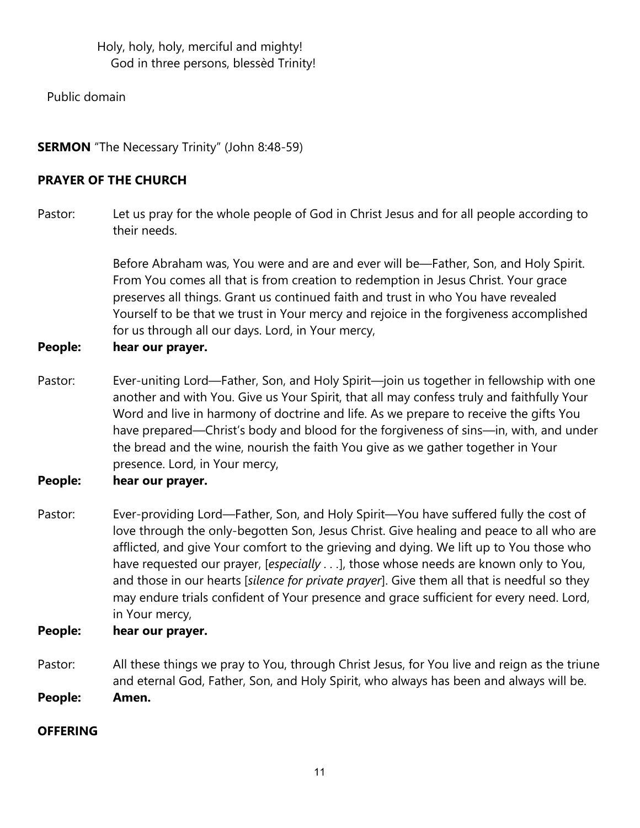Holy, holy, holy, merciful and mighty! God in three persons, blessèd Trinity!

Public domain

**SERMON** "The Necessary Trinity" (John 8:48-59)

# **PRAYER OF THE CHURCH**

Pastor: Let us pray for the whole people of God in Christ Jesus and for all people according to their needs.

> Before Abraham was, You were and are and ever will be—Father, Son, and Holy Spirit. From You comes all that is from creation to redemption in Jesus Christ. Your grace preserves all things. Grant us continued faith and trust in who You have revealed Yourself to be that we trust in Your mercy and rejoice in the forgiveness accomplished for us through all our days. Lord, in Your mercy,

# **People: hear our prayer.**

Pastor: Ever-uniting Lord—Father, Son, and Holy Spirit—join us together in fellowship with one another and with You. Give us Your Spirit, that all may confess truly and faithfully Your Word and live in harmony of doctrine and life. As we prepare to receive the gifts You have prepared—Christ's body and blood for the forgiveness of sins—in, with, and under the bread and the wine, nourish the faith You give as we gather together in Your presence. Lord, in Your mercy,

# **People: hear our prayer.**

Pastor: Ever-providing Lord—Father, Son, and Holy Spirit—You have suffered fully the cost of love through the only-begotten Son, Jesus Christ. Give healing and peace to all who are afflicted, and give Your comfort to the grieving and dying. We lift up to You those who have requested our prayer, [*especially . . .*], those whose needs are known only to You, and those in our hearts [*silence for private prayer*]. Give them all that is needful so they may endure trials confident of Your presence and grace sufficient for every need. Lord, in Your mercy,

## **People: hear our prayer.**

Pastor: All these things we pray to You, through Christ Jesus, for You live and reign as the triune and eternal God, Father, Son, and Holy Spirit, who always has been and always will be. **People: Amen.**

## **OFFERING**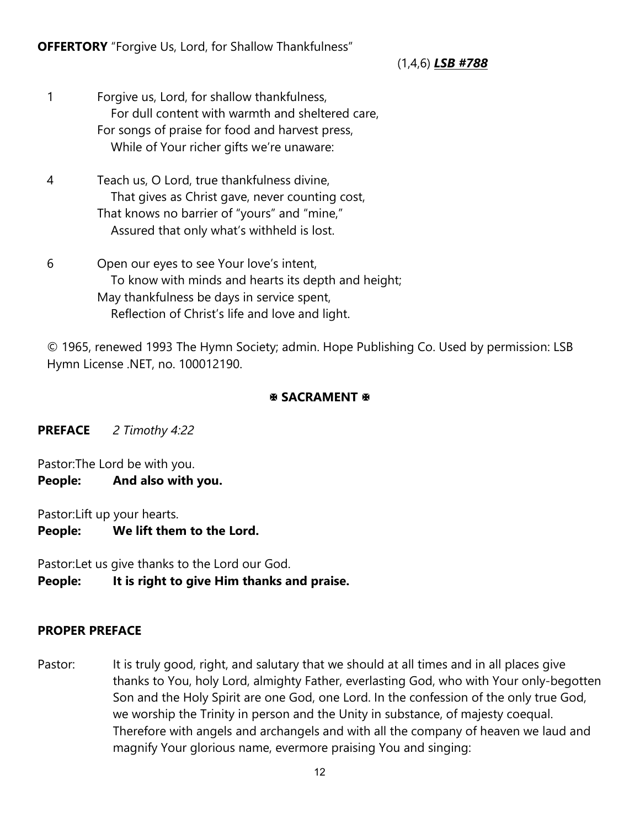**OFFERTORY** "Forgive Us, Lord, for Shallow Thankfulness"

(1,4,6) *LSB #788*

- 1 Forgive us, Lord, for shallow thankfulness, For dull content with warmth and sheltered care, For songs of praise for food and harvest press, While of Your richer gifts we're unaware:
- 4 Teach us, O Lord, true thankfulness divine, That gives as Christ gave, never counting cost, That knows no barrier of "yours" and "mine," Assured that only what's withheld is lost.
- 6 Open our eyes to see Your love's intent, To know with minds and hearts its depth and height; May thankfulness be days in service spent, Reflection of Christ's life and love and light.

© 1965, renewed 1993 The Hymn Society; admin. Hope Publishing Co. Used by permission: LSB Hymn License .NET, no. 100012190.

# **SACRAMENT &**

**PREFACE** *2 Timothy 4:22*

Pastor:The Lord be with you. **People: And also with you.**

Pastor:Lift up your hearts.

**People: We lift them to the Lord.**

Pastor:Let us give thanks to the Lord our God.

**People: It is right to give Him thanks and praise.**

# **PROPER PREFACE**

Pastor: It is truly good, right, and salutary that we should at all times and in all places give thanks to You, holy Lord, almighty Father, everlasting God, who with Your only-begotten Son and the Holy Spirit are one God, one Lord. In the confession of the only true God, we worship the Trinity in person and the Unity in substance, of majesty coequal. Therefore with angels and archangels and with all the company of heaven we laud and magnify Your glorious name, evermore praising You and singing: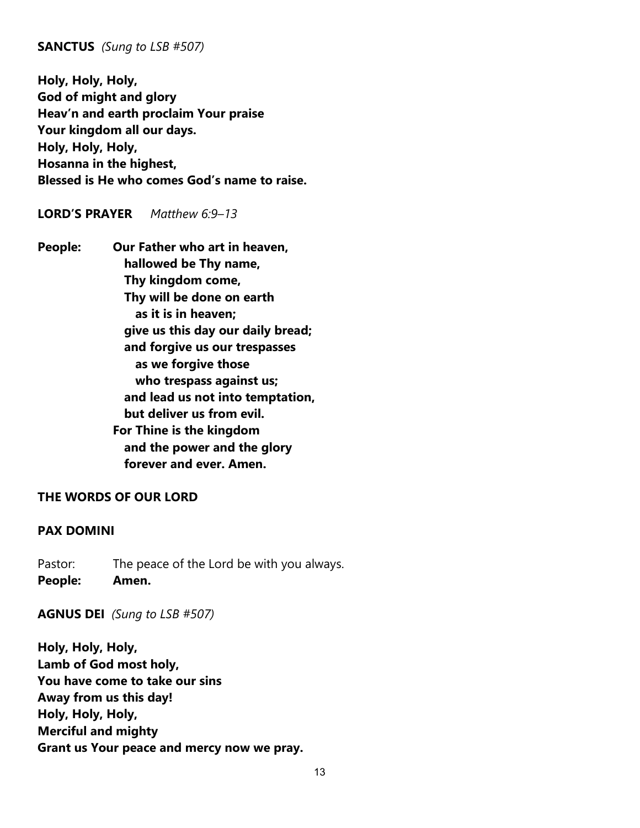#### **SANCTUS** *(Sung to LSB #507)*

**Holy, Holy, Holy, God of might and glory Heav'n and earth proclaim Your praise Your kingdom all our days. Holy, Holy, Holy, Hosanna in the highest, Blessed is He who comes God's name to raise.** 

#### **LORD'S PRAYER** *Matthew 6:9–13*

**People: Our Father who art in heaven, hallowed be Thy name, Thy kingdom come, Thy will be done on earth as it is in heaven; give us this day our daily bread; and forgive us our trespasses as we forgive those who trespass against us; and lead us not into temptation, but deliver us from evil. For Thine is the kingdom and the power and the glory forever and ever. Amen.**

#### **THE WORDS OF OUR LORD**

#### **PAX DOMINI**

Pastor: The peace of the Lord be with you always. **People: Amen.**

**AGNUS DEI** *(Sung to LSB #507)*

**Holy, Holy, Holy, Lamb of God most holy, You have come to take our sins Away from us this day! Holy, Holy, Holy, Merciful and mighty Grant us Your peace and mercy now we pray.**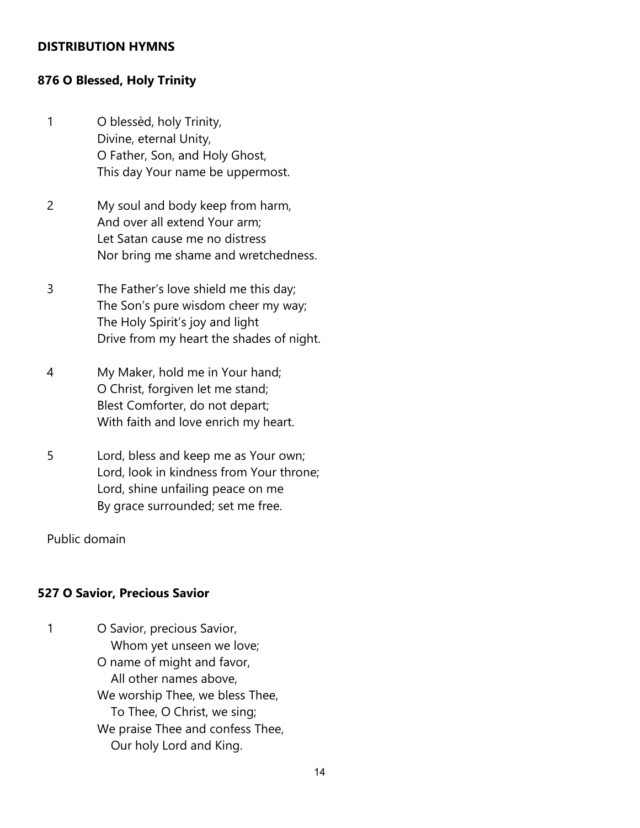#### **DISTRIBUTION HYMNS**

#### **876 O Blessed, Holy Trinity**

- 1 O blessèd, holy Trinity, Divine, eternal Unity, O Father, Son, and Holy Ghost, This day Your name be uppermost.
- 2 My soul and body keep from harm, And over all extend Your arm; Let Satan cause me no distress Nor bring me shame and wretchedness.
- 3 The Father's love shield me this day; The Son's pure wisdom cheer my way; The Holy Spirit's joy and light Drive from my heart the shades of night.
- 4 My Maker, hold me in Your hand; O Christ, forgiven let me stand; Blest Comforter, do not depart; With faith and love enrich my heart.
- 5 Lord, bless and keep me as Your own; Lord, look in kindness from Your throne; Lord, shine unfailing peace on me By grace surrounded; set me free.

Public domain

#### **527 O Savior, Precious Savior**

1 O Savior, precious Savior, Whom yet unseen we love; O name of might and favor, All other names above, We worship Thee, we bless Thee, To Thee, O Christ, we sing; We praise Thee and confess Thee, Our holy Lord and King.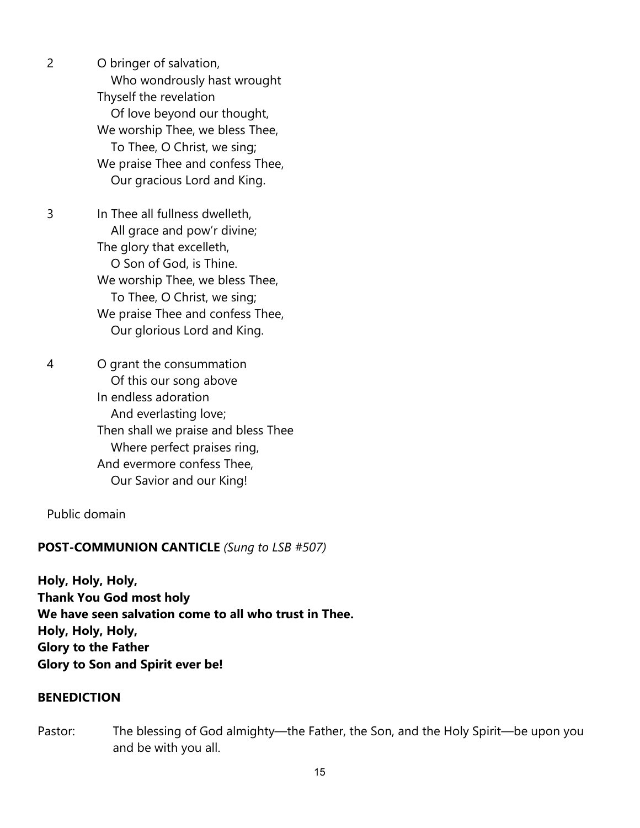2 O bringer of salvation, Who wondrously hast wrought Thyself the revelation Of love beyond our thought, We worship Thee, we bless Thee, To Thee, O Christ, we sing; We praise Thee and confess Thee, Our gracious Lord and King.

3 In Thee all fullness dwelleth, All grace and pow'r divine; The glory that excelleth, O Son of God, is Thine. We worship Thee, we bless Thee, To Thee, O Christ, we sing; We praise Thee and confess Thee, Our glorious Lord and King.

4 O grant the consummation Of this our song above In endless adoration And everlasting love; Then shall we praise and bless Thee Where perfect praises ring, And evermore confess Thee, Our Savior and our King!

Public domain

#### **POST-COMMUNION CANTICLE** *(Sung to LSB #507)*

**Holy, Holy, Holy, Thank You God most holy We have seen salvation come to all who trust in Thee. Holy, Holy, Holy, Glory to the Father Glory to Son and Spirit ever be!**

#### **BENEDICTION**

Pastor: The blessing of God almighty—the Father, the Son, and the Holy Spirit—be upon you and be with you all.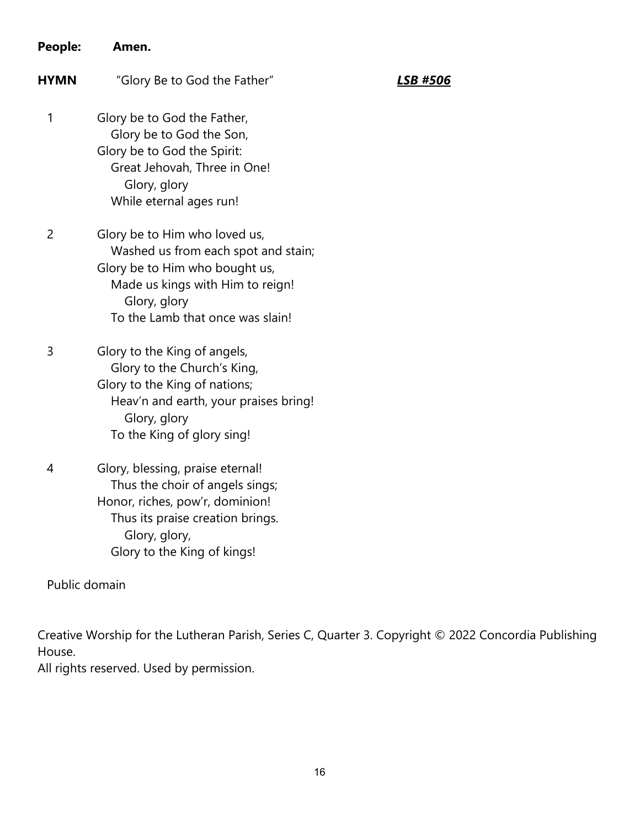| People:        | Amen.                                                                                                                                                                                          |          |
|----------------|------------------------------------------------------------------------------------------------------------------------------------------------------------------------------------------------|----------|
| <b>HYMN</b>    | "Glory Be to God the Father"                                                                                                                                                                   | LSB #506 |
| 1              | Glory be to God the Father,<br>Glory be to God the Son,<br>Glory be to God the Spirit:<br>Great Jehovah, Three in One!<br>Glory, glory<br>While eternal ages run!                              |          |
| $\overline{2}$ | Glory be to Him who loved us,<br>Washed us from each spot and stain;<br>Glory be to Him who bought us,<br>Made us kings with Him to reign!<br>Glory, glory<br>To the Lamb that once was slain! |          |
| 3              | Glory to the King of angels,<br>Glory to the Church's King,<br>Glory to the King of nations;<br>Heav'n and earth, your praises bring!<br>Glory, glory<br>To the King of glory sing!            |          |
| 4              | Glory, blessing, praise eternal!<br>Thus the choir of angels sings;<br>Honor, riches, pow'r, dominion!<br>Thus its praise creation brings.<br>Glory, glory,<br>Glory to the King of kings!     |          |

Public domain

Creative Worship for the Lutheran Parish, Series C, Quarter 3. Copyright © 2022 Concordia Publishing House.

All rights reserved. Used by permission.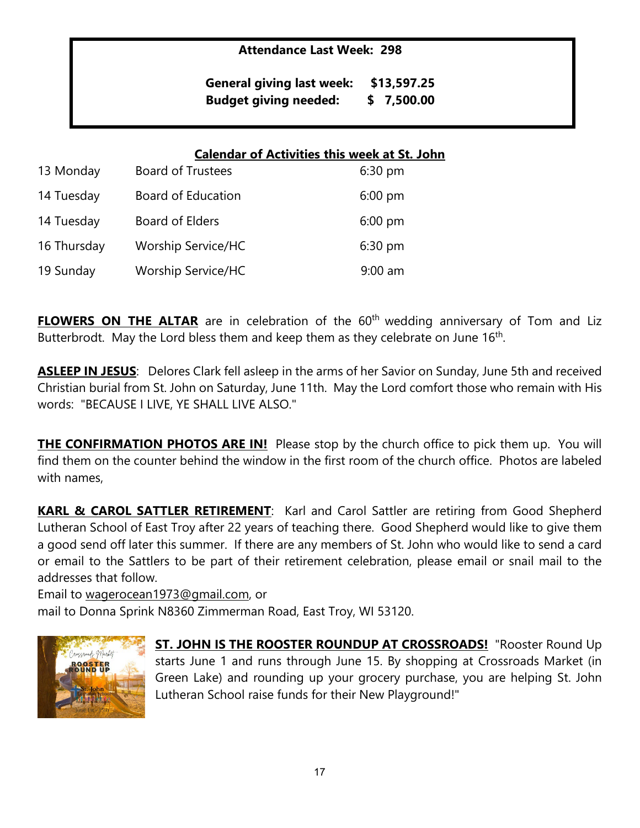## **Attendance Last Week: 298**

**General giving last week: \$13,597.25 Budget giving needed: \$ 7,500.00**

## **Calendar of Activities this week at St. John**

| 13 Monday   | Board of Trustees         | $6:30$ pm |
|-------------|---------------------------|-----------|
| 14 Tuesday  | Board of Education        | $6:00$ pm |
| 14 Tuesday  | Board of Elders           | $6:00$ pm |
| 16 Thursday | <b>Worship Service/HC</b> | 6:30 pm   |
| 19 Sunday   | <b>Worship Service/HC</b> | $9:00$ am |

**FLOWERS ON THE ALTAR** are in celebration of the 60<sup>th</sup> wedding anniversary of Tom and Liz Butterbrodt. May the Lord bless them and keep them as they celebrate on June  $16<sup>th</sup>$ .

**ASLEEP IN JESUS**: Delores Clark fell asleep in the arms of her Savior on Sunday, June 5th and received Christian burial from St. John on Saturday, June 11th. May the Lord comfort those who remain with His words: "BECAUSE I LIVE, YE SHALL LIVE ALSO."

**THE CONFIRMATION PHOTOS ARE IN!** Please stop by the church office to pick them up. You will find them on the counter behind the window in the first room of the church office. Photos are labeled with names,

**KARL & CAROL SATTLER RETIREMENT**: Karl and Carol Sattler are retiring from Good Shepherd Lutheran School of East Troy after 22 years of teaching there. Good Shepherd would like to give them a good send off later this summer. If there are any members of St. John who would like to send a card or email to the Sattlers to be part of their retirement celebration, please email or snail mail to the addresses that follow.

Email to [wagerocean1973@gmail.com,](mailto:wagerocean1973@gmail.com) or mail to Donna Sprink N8360 Zimmerman Road, East Troy, WI 53120.



**ST. JOHN IS THE ROOSTER ROUNDUP AT CROSSROADS!** "Rooster Round Up starts June 1 and runs through June 15. By shopping at Crossroads Market (in Green Lake) and rounding up your grocery purchase, you are helping St. John Lutheran School raise funds for their New Playground!"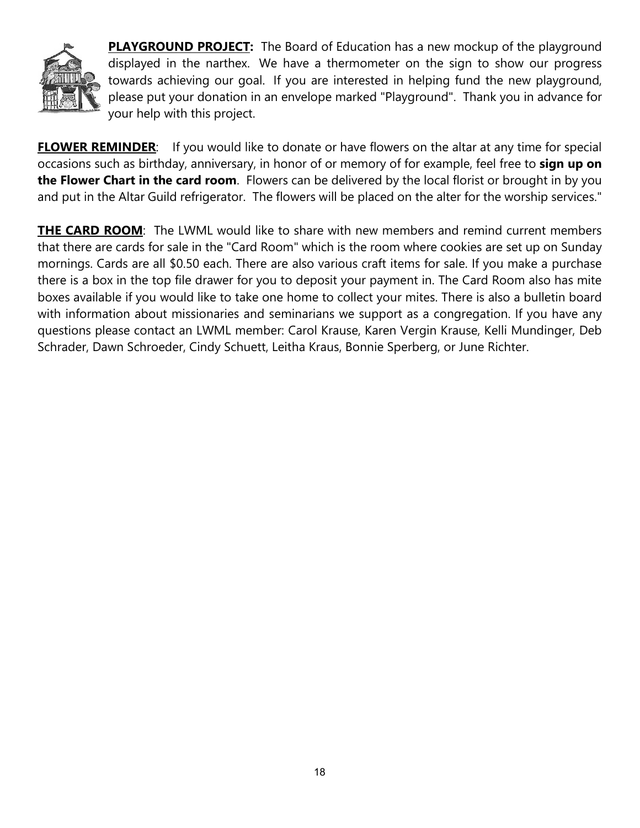

**PLAYGROUND PROJECT:** The Board of Education has a new mockup of the playground displayed in the narthex. We have a thermometer on the sign to show our progress towards achieving our goal. If you are interested in helping fund the new playground, please put your donation in an envelope marked "Playground". Thank you in advance for your help with this project.

**FLOWER REMINDER**: If you would like to donate or have flowers on the altar at any time for special occasions such as birthday, anniversary, in honor of or memory of for example, feel free to **sign up on the Flower Chart in the card room**. Flowers can be delivered by the local florist or brought in by you and put in the Altar Guild refrigerator. The flowers will be placed on the alter for the worship services."

**THE CARD ROOM:** The LWML would like to share with new members and remind current members that there are cards for sale in the "Card Room" which is the room where cookies are set up on Sunday mornings. Cards are all \$0.50 each. There are also various craft items for sale. If you make a purchase there is a box in the top file drawer for you to deposit your payment in. The Card Room also has mite boxes available if you would like to take one home to collect your mites. There is also a bulletin board with information about missionaries and seminarians we support as a congregation. If you have any questions please contact an LWML member: Carol Krause, Karen Vergin Krause, Kelli Mundinger, Deb Schrader, Dawn Schroeder, Cindy Schuett, Leitha Kraus, Bonnie Sperberg, or June Richter.